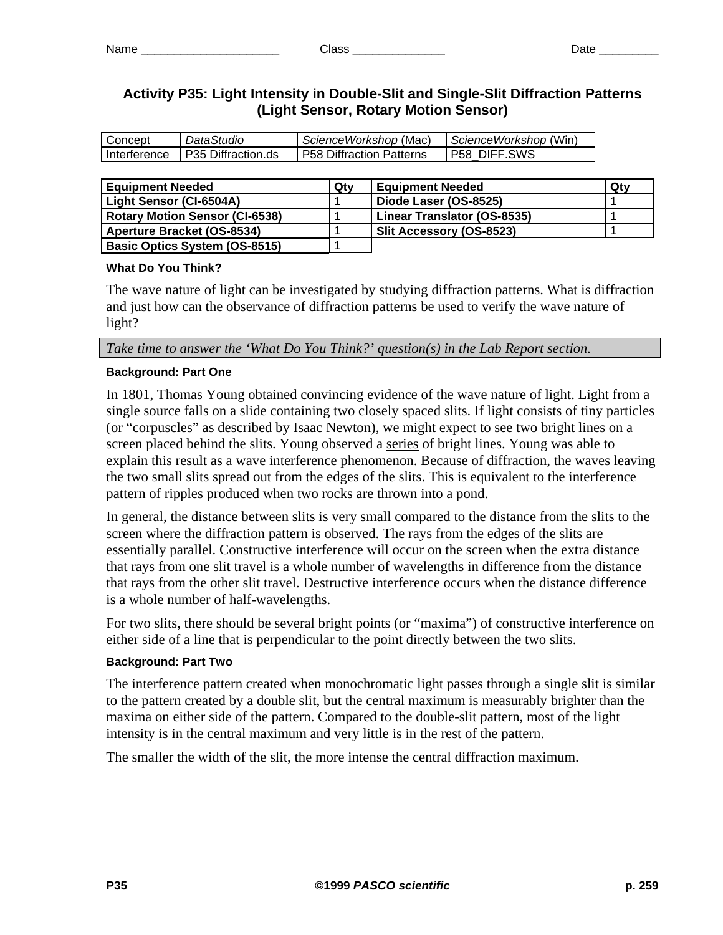# **Activity P35: Light Intensity in Double-Slit and Single-Slit Diffraction Patterns (Light Sensor, Rotary Motion Sensor)**

| Concept        | DataStudio           | ScienceWorkshop (Mac)           | ScienceWorkshop (Win) |
|----------------|----------------------|---------------------------------|-----------------------|
| l Interference | I P35 Diffraction.ds | <b>P58 Diffraction Patterns</b> | P58 DIFF.SWS          |

| <b>Equipment Needed</b>               | Qtv | <b>Equipment Needed</b>     | Qty |
|---------------------------------------|-----|-----------------------------|-----|
| Light Sensor (CI-6504A)               |     | Diode Laser (OS-8525)       |     |
| <b>Rotary Motion Sensor (CI-6538)</b> |     | Linear Translator (OS-8535) |     |
| Aperture Bracket (OS-8534)            |     | Slit Accessory (OS-8523)    |     |
| <b>Basic Optics System (OS-8515)</b>  |     |                             |     |

### **What Do You Think?**

The wave nature of light can be investigated by studying diffraction patterns. What is diffraction and just how can the observance of diffraction patterns be used to verify the wave nature of light?

*Take time to answer the 'What Do You Think?' question(s) in the Lab Report section.* 

## **Background: Part One**

In 1801, Thomas Young obtained convincing evidence of the wave nature of light. Light from a single source falls on a slide containing two closely spaced slits. If light consists of tiny particles (or "corpuscles" as described by Isaac Newton), we might expect to see two bright lines on a screen placed behind the slits. Young observed a series of bright lines. Young was able to explain this result as a wave interference phenomenon. Because of diffraction, the waves leaving the two small slits spread out from the edges of the slits. This is equivalent to the interference pattern of ripples produced when two rocks are thrown into a pond.

In general, the distance between slits is very small compared to the distance from the slits to the screen where the diffraction pattern is observed. The rays from the edges of the slits are essentially parallel. Constructive interference will occur on the screen when the extra distance that rays from one slit travel is a whole number of wavelengths in difference from the distance that rays from the other slit travel. Destructive interference occurs when the distance difference is a whole number of half-wavelengths.

For two slits, there should be several bright points (or "maxima") of constructive interference on either side of a line that is perpendicular to the point directly between the two slits.

## **Background: Part Two**

The interference pattern created when monochromatic light passes through a single slit is similar to the pattern created by a double slit, but the central maximum is measurably brighter than the maxima on either side of the pattern. Compared to the double-slit pattern, most of the light intensity is in the central maximum and very little is in the rest of the pattern.

The smaller the width of the slit, the more intense the central diffraction maximum.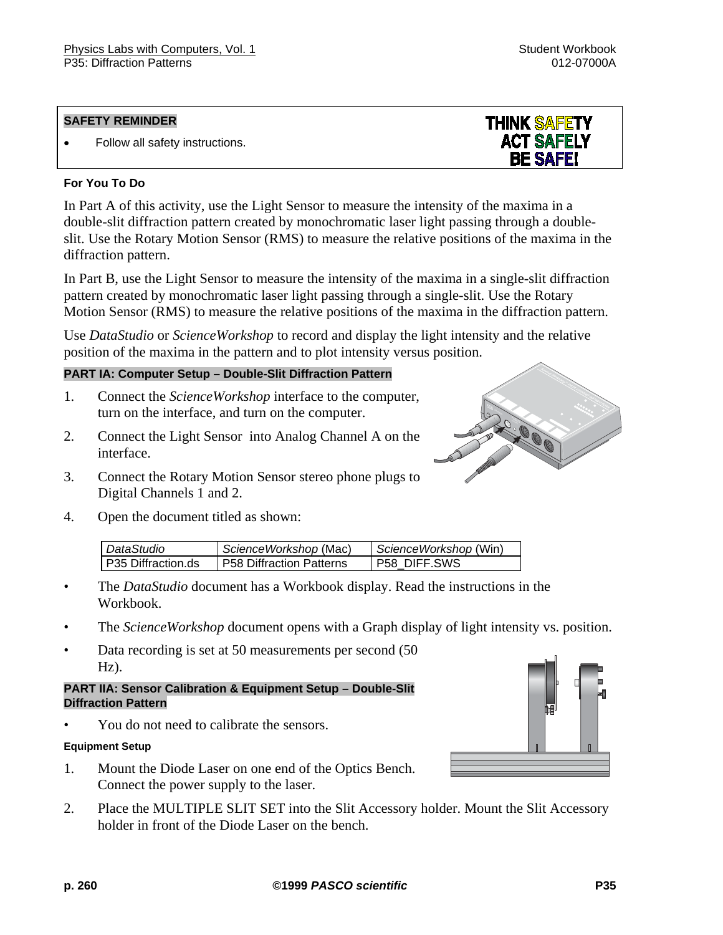• Follow all safety instructions.

### **For You To Do**

In Part A of this activity, use the Light Sensor to measure the intensity of the maxima in a double-slit diffraction pattern created by monochromatic laser light passing through a doubleslit. Use the Rotary Motion Sensor (RMS) to measure the relative positions of the maxima in the diffraction pattern.

In Part B, use the Light Sensor to measure the intensity of the maxima in a single-slit diffraction pattern created by monochromatic laser light passing through a single-slit. Use the Rotary Motion Sensor (RMS) to measure the relative positions of the maxima in the diffraction pattern.

Use *DataStudio* or *ScienceWorkshop* to record and display the light intensity and the relative position of the maxima in the pattern and to plot intensity versus position.

### **PART IA: Computer Setup – Double-Slit Diffraction Pattern**

- 1. Connect the *ScienceWorkshop* interface to the computer, turn on the interface, and turn on the computer.
- 2. Connect the Light Sensor into Analog Channel A on the interface.
- 3. Connect the Rotary Motion Sensor stereo phone plugs to Digital Channels 1 and 2.
- 4. Open the document titled as shown:

| DataStudio           | ScienceWorkshop (Mac)           | ScienceWorkshop (Win) |
|----------------------|---------------------------------|-----------------------|
| l P35 Diffraction.ds | <b>P58 Diffraction Patterns</b> | I P58 DIFF.SWS        |

- The *DataStudio* document has a Workbook display. Read the instructions in the Workbook.
- The *ScienceWorkshop* document opens with a Graph display of light intensity vs. position.
- Data recording is set at 50 measurements per second (50  $Hz$ ).

### **PART IIA: Sensor Calibration & Equipment Setup – Double-Slit Diffraction Pattern**

• You do not need to calibrate the sensors.

### **Equipment Setup**

- 1. Mount the Diode Laser on one end of the Optics Bench. Connect the power supply to the laser.
- 2. Place the MULTIPLE SLIT SET into the Slit Accessory holder. Mount the Slit Accessory holder in front of the Diode Laser on the bench.







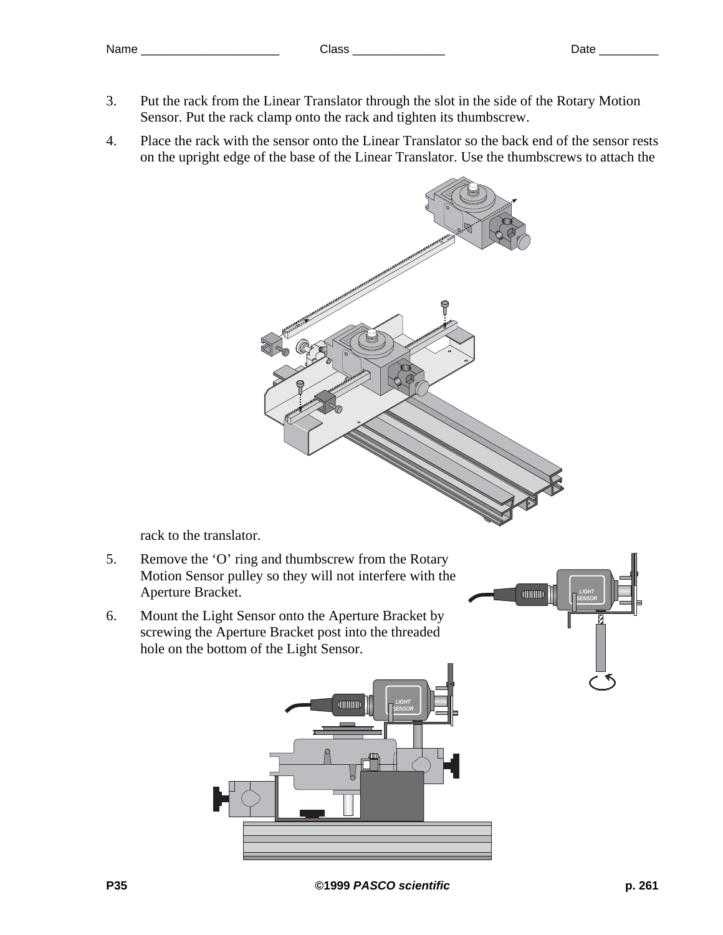- 3. Put the rack from the Linear Translator through the slot in the side of the Rotary Motion Sensor. Put the rack clamp onto the rack and tighten its thumbscrew.
- 4. Place the rack with the sensor onto the Linear Translator so the back end of the sensor rests on the upright edge of the base of the Linear Translator. Use the thumbscrews to attach the



rack to the translator.

- 5. Remove the 'O' ring and thumbscrew from the Rotary Motion Sensor pulley so they will not interfere with the Aperture Bracket.
- 6. Mount the Light Sensor onto the Aperture Bracket by screwing the Aperture Bracket post into the threaded hole on the bottom of the Light Sensor.



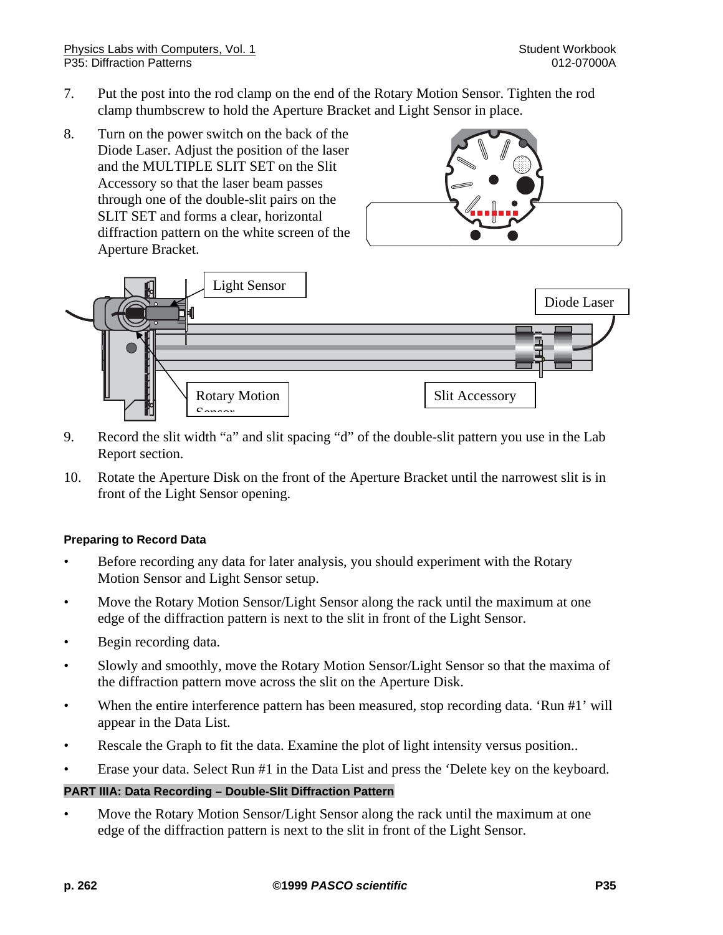- 7. Put the post into the rod clamp on the end of the Rotary Motion Sensor. Tighten the rod clamp thumbscrew to hold the Aperture Bracket and Light Sensor in place.
- 8. Turn on the power switch on the back of the Diode Laser. Adjust the position of the laser and the MULTIPLE SLIT SET on the Slit Accessory so that the laser beam passes through one of the double-slit pairs on the SLIT SET and forms a clear, horizontal diffraction pattern on the white screen of the Aperture Bracket.





- 9. Record the slit width "a" and slit spacing "d" of the double-slit pattern you use in the Lab Report section.
- 10. Rotate the Aperture Disk on the front of the Aperture Bracket until the narrowest slit is in front of the Light Sensor opening.

## **Preparing to Record Data**

- Before recording any data for later analysis, you should experiment with the Rotary Motion Sensor and Light Sensor setup.
- Move the Rotary Motion Sensor/Light Sensor along the rack until the maximum at one edge of the diffraction pattern is next to the slit in front of the Light Sensor.
- Begin recording data.
- Slowly and smoothly, move the Rotary Motion Sensor/Light Sensor so that the maxima of the diffraction pattern move across the slit on the Aperture Disk.
- When the entire interference pattern has been measured, stop recording data. 'Run #1' will appear in the Data List.
- Rescale the Graph to fit the data. Examine the plot of light intensity versus position..
- Erase your data. Select Run #1 in the Data List and press the 'Delete key on the keyboard.

## **PART IIIA: Data Recording – Double-Slit Diffraction Pattern**

• Move the Rotary Motion Sensor/Light Sensor along the rack until the maximum at one edge of the diffraction pattern is next to the slit in front of the Light Sensor.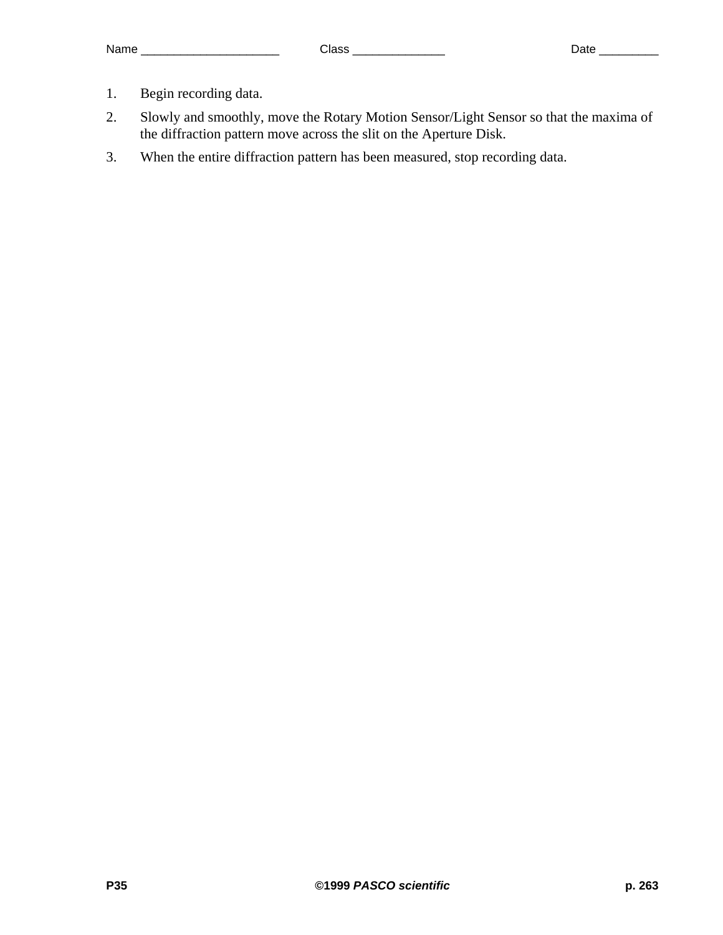- 1. Begin recording data.
- 2. Slowly and smoothly, move the Rotary Motion Sensor/Light Sensor so that the maxima of the diffraction pattern move across the slit on the Aperture Disk.
- 3. When the entire diffraction pattern has been measured, stop recording data.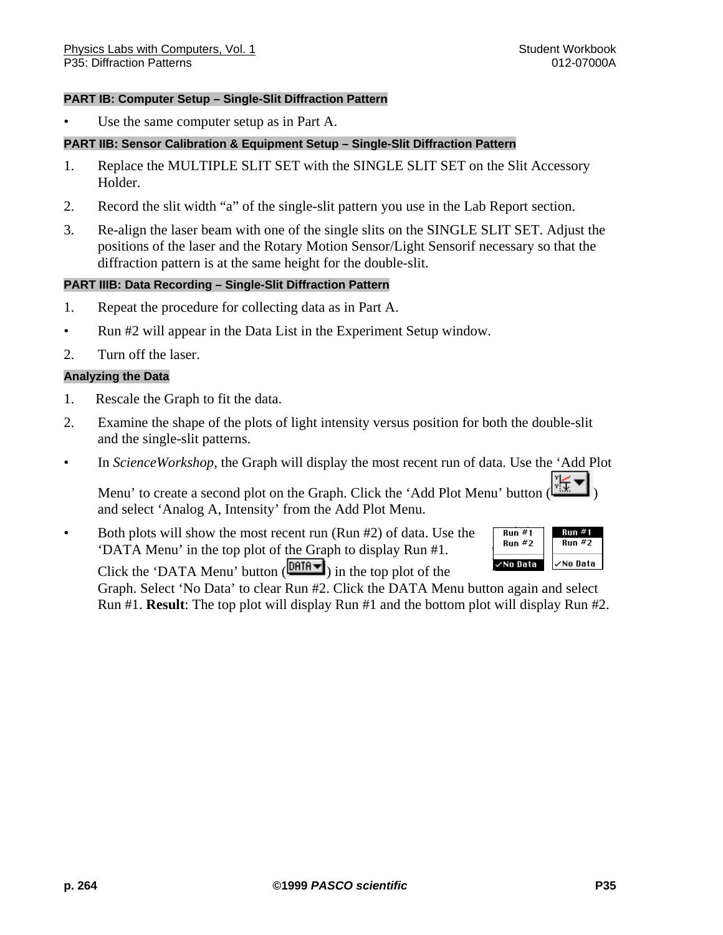### **PART IB: Computer Setup – Single-Slit Diffraction Pattern**

Use the same computer setup as in Part A.

#### **PART IIB: Sensor Calibration & Equipment Setup – Single-Slit Diffraction Pattern**

- 1. Replace the MULTIPLE SLIT SET with the SINGLE SLIT SET on the Slit Accessory Holder.
- 2. Record the slit width "a" of the single-slit pattern you use in the Lab Report section.
- 3. Re-align the laser beam with one of the single slits on the SINGLE SLIT SET. Adjust the positions of the laser and the Rotary Motion Sensor/Light Sensorif necessary so that the diffraction pattern is at the same height for the double-slit.

#### **PART IIIB: Data Recording – Single-Slit Diffraction Pattern**

- 1. Repeat the procedure for collecting data as in Part A.
- Run #2 will appear in the Data List in the Experiment Setup window.
- 2. Turn off the laser.

#### **Analyzing the Data**

- 1. Rescale the Graph to fit the data.
- 2. Examine the shape of the plots of light intensity versus position for both the double-slit and the single-slit patterns.
- In *ScienceWorkshop*, the Graph will display the most recent run of data. Use the 'Add Plot'

Menu' to create a second plot on the Graph. Click the 'Add Plot Menu' button  $\sqrt{\frac{1}{n}}$ and select 'Analog A, Intensity' from the Add Plot Menu.

• Both plots will show the most recent run (Run #2) of data. Use the 'DATA Menu' in the top plot of the Graph to display Run #1.

| Run $#1$ | Run #1        |
|----------|---------------|
| Run $#2$ | <b>Run #2</b> |
|          | √o Data       |

Click the 'DATA Menu' button  $(\overline{DRIH} \cdot \overline{I})$  in the top plot of the

Graph. Select 'No Data' to clear Run #2. Click the DATA Menu button again and select Run #1. **Result**: The top plot will display Run #1 and the bottom plot will display Run #2.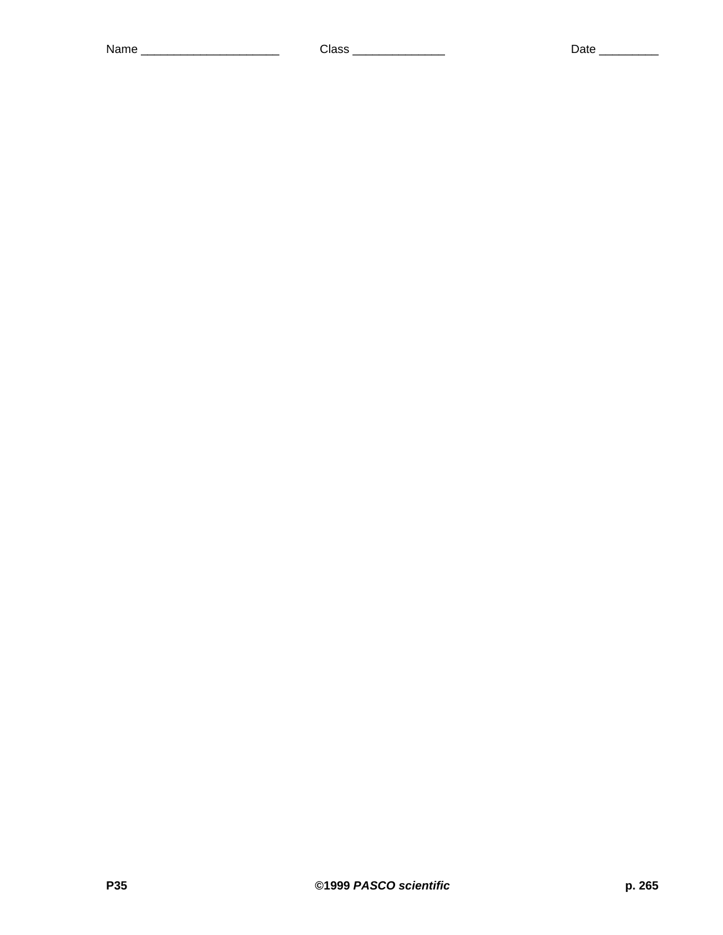| Name |
|------|
|------|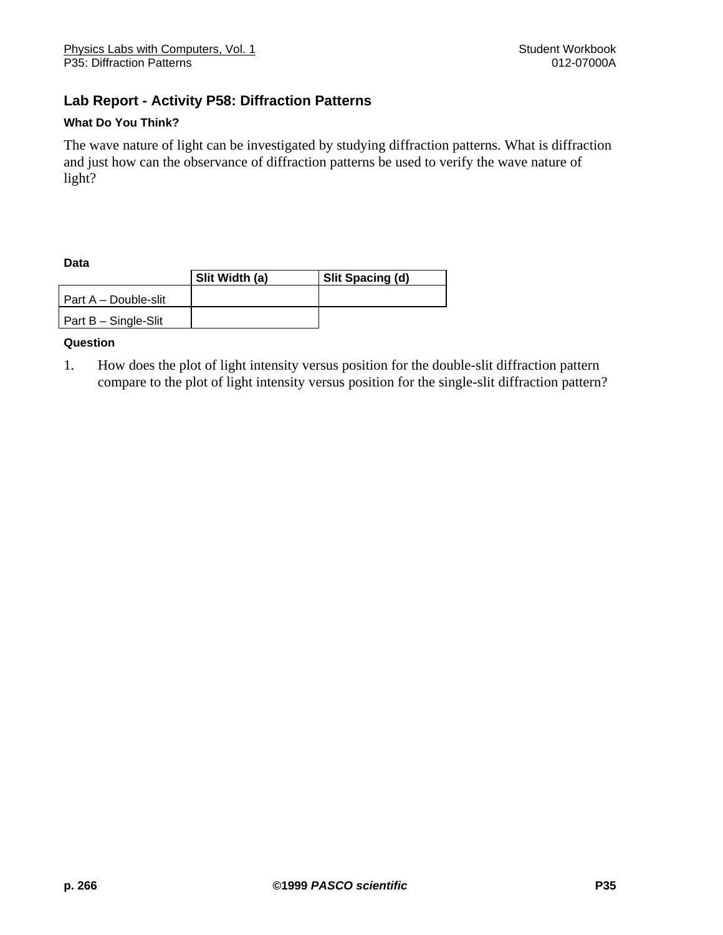# **Lab Report - Activity P58: Diffraction Patterns**

### **What Do You Think?**

The wave nature of light can be investigated by studying diffraction patterns. What is diffraction and just how can the observance of diffraction patterns be used to verify the wave nature of light?

**Data** 

|                      | Slit Width (a) | Slit Spacing (d) |
|----------------------|----------------|------------------|
| Part A - Double-slit |                |                  |
| Part B – Single-Slit |                |                  |

### **Question**

1. How does the plot of light intensity versus position for the double-slit diffraction pattern compare to the plot of light intensity versus position for the single-slit diffraction pattern?